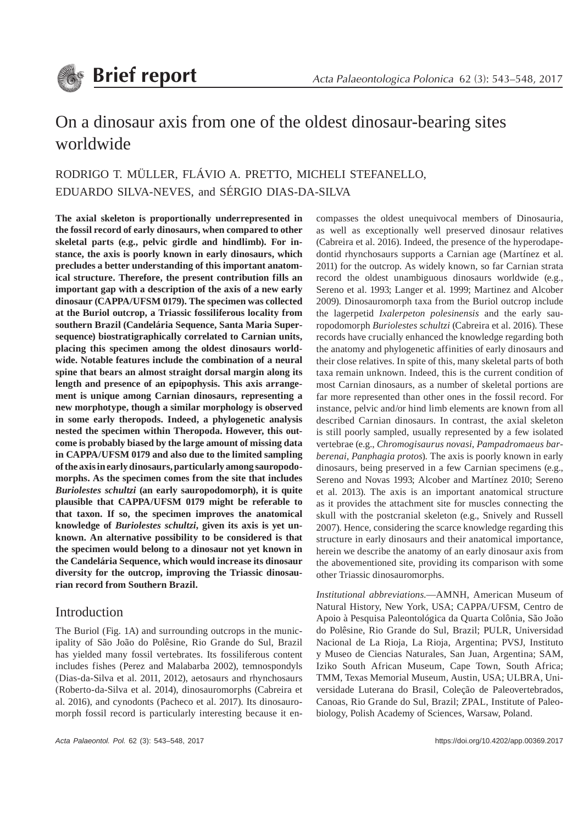

# On a dinosaur axis from one of the oldest dinosaur-bearing sites worldwide

# RODRIGO T. MÜLLER, FLÁVIO A. PRETTO, MICHELI STEFANELLO, EDUARDO SILVA-NEVES, and SÉRGIO DIAS-DA-SILVA

**The axial skeleton is proportionally underrepresented in the fossil record of early dinosaurs, when compared to other skeletal parts (e.g., pelvic girdle and hindlimb). For instance, the axis is poorly known in early dinosaurs, which precludes a better understanding of this important anatomical structure. Therefore, the present contribution fills an important gap with a description of the axis of a new early dinosaur (CAPPA/UFSM 0179). The specimen was collected at the Buriol outcrop, a Triassic fossiliferous locality from southern Brazil (Candelária Sequence, Santa Maria Supersequence) biostratigraphically correlated to Carnian units, placing this specimen among the oldest dinosaurs worldwide. Notable features include the combination of a neural spine that bears an almost straight dorsal margin along its length and presence of an epipophysis. This axis arrangement is unique among Carnian dinosaurs, representing a new morphotype, though a similar morphology is observed in some early theropods. Indeed, a phylogenetic analysis nested the specimen within Theropoda. However, this outcome is probably biased by the large amount of missing data in CAPPA/UFSM 0179 and also due to the limited sampling of the axis in early dinosaurs, particularly among sauropodomorphs. As the specimen comes from the site that includes**  *Buriolestes schultzi* **(an early sauropodomorph), it is quite plausible that CAPPA/UFSM 0179 might be referable to that taxon. If so, the specimen improves the anatomical knowledge of** *Buriolestes schultzi***, given its axis is yet unknown. An alternative possibility to be considered is that the specimen would belong to a dinosaur not yet known in the Candelária Sequence, which would increase its dinosaur diversity for the outcrop, improving the Triassic dinosaurian record from Southern Brazil.**

### Introduction

The Buriol (Fig. 1A) and surrounding outcrops in the municipality of São João do Polêsine, Rio Grande do Sul, Brazil has yielded many fossil vertebrates. Its fossiliferous content includes fishes (Perez and Malabarba 2002), temnospondyls (Dias-da-Silva et al. 2011, 2012), aetosaurs and rhynchosaurs (Roberto-da-Silva et al. 2014), dinosauromorphs (Cabreira et al. 2016), and cynodonts (Pacheco et al. 2017). Its dinosauromorph fossil record is particularly interesting because it encompasses the oldest unequivocal members of Dinosauria, as well as exceptionally well preserved dinosaur relatives (Cabreira et al. 2016). Indeed, the presence of the hyperodapedontid rhynchosaurs supports a Carnian age (Martínez et al. 2011) for the outcrop. As widely known, so far Carnian strata record the oldest unambiguous dinosaurs worldwide (e.g., Sereno et al. 1993; Langer et al. 1999; Martinez and Alcober 2009). Dinosauromorph taxa from the Buriol outcrop include the lagerpetid *Ixalerpeton polesinensis* and the early sauropodomorph *Buriolestes schultzi* (Cabreira et al. 2016). These records have crucially enhanced the knowledge regarding both the anatomy and phylogenetic affinities of early dinosaurs and their close relatives. In spite of this, many skeletal parts of both taxa remain unknown. Indeed, this is the current condition of most Carnian dinosaurs, as a number of skeletal portions are far more represented than other ones in the fossil record. For instance, pelvic and/or hind limb elements are known from all described Carnian dinosaurs. In contrast, the axial skeleton is still poorly sampled, usually represented by a few isolated vertebrae (e.g., *Chromogisaurus novasi*, *Pampadromaeus barberenai*, *Panphagia protos*). The axis is poorly known in early dinosaurs, being preserved in a few Carnian specimens (e.g., Sereno and Novas 1993; Alcober and Martínez 2010; Sereno et al. 2013). The axis is an important anatomical structure as it provides the attachment site for muscles connecting the skull with the postcranial skeleton (e.g., Snively and Russell 2007). Hence, considering the scarce knowledge regarding this structure in early dinosaurs and their anatomical importance, herein we describe the anatomy of an early dinosaur axis from the abovementioned site, providing its comparison with some other Triassic dinosauromorphs.

*Institutional abbreviations*.—AMNH, American Museum of Natural History, New York, USA; CAPPA/UFSM, Centro de Apoio à Pesquisa Paleontológica da Quarta Colônia, São João do Polêsine, Rio Grande do Sul, Brazil; PULR, Universidad Nacional de La Rioja, La Rioja, Argentina; PVSJ, Instituto y Museo de Ciencias Naturales, San Juan, Argentina; SAM, Iziko South African Museum, Cape Town, South Africa; TMM, Texas Memorial Museum, Austin, USA; ULBRA, Universidade Luterana do Brasil, Coleção de Paleovertebrados, Canoas, Rio Grande do Sul, Brazil; ZPAL, Institute of Paleobiology, Polish Academy of Sciences, Warsaw, Poland.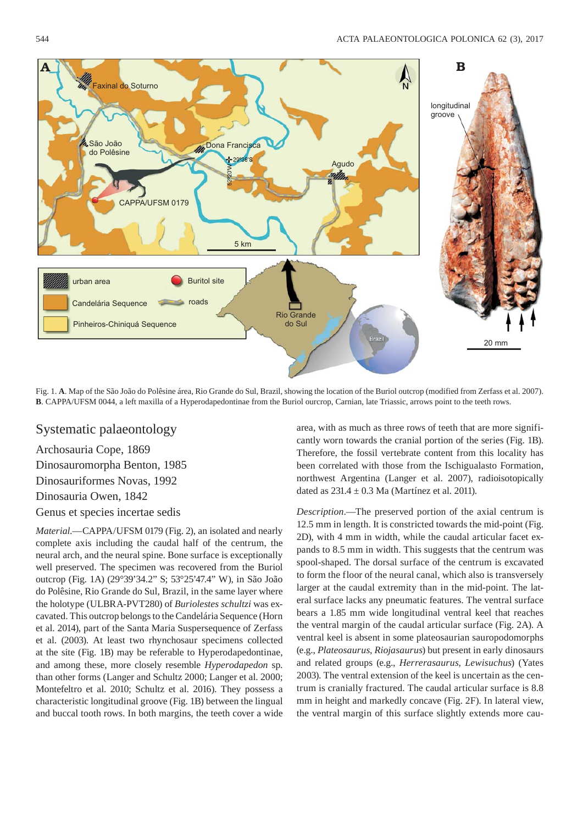

Fig. 1. **A**. Map of the São João do Polêsine área, Rio Grande do Sul, Brazil, showing the location of the Buriol outcrop (modified from Zerfass et al. 2007). **B**. CAPPA/UFSM 0044, a left maxilla of a Hyperodapedontinae from the Buriol ourcrop, Carnian, late Triassic, arrows point to the teeth rows.

### Systematic palaeontology

Archosauria Cope, 1869 Dinosauromorpha Benton, 1985

Dinosauriformes Novas, 1992

Dinosauria Owen, 1842

Genus et species incertae sedis

*Material*.—CAPPA/UFSM 0179 (Fig. 2), an isolated and nearly complete axis including the caudal half of the centrum, the neural arch, and the neural spine. Bone surface is exceptionally well preserved. The specimen was recovered from the Buriol outcrop (Fig. 1A) (29°39'34.2" S; 53°25'47.4" W), in São João do Polêsine, Rio Grande do Sul, Brazil, in the same layer where the holotype (ULBRA-PVT280) of *Buriolestes schultzi* was excavated. This outcrop belongs to the Candelária Sequence (Horn et al. 2014), part of the Santa Maria Suspersequence of Zerfass et al. (2003). At least two rhynchosaur specimens collected at the site (Fig. 1B) may be referable to Hyperodapedontinae, and among these, more closely resemble *Hyperodapedon* sp. than other forms (Langer and Schultz 2000; Langer et al. 2000; Montefeltro et al. 2010; Schultz et al. 2016). They possess a characteristic longitudinal groove (Fig. 1B) between the lingual and buccal tooth rows. In both margins, the teeth cover a wide area, with as much as three rows of teeth that are more significantly worn towards the cranial portion of the series (Fig. 1B). Therefore, the fossil vertebrate content from this locality has been correlated with those from the Ischigualasto Formation, northwest Argentina (Langer et al. 2007), radioisotopically dated as  $231.4 \pm 0.3$  Ma (Martínez et al. 2011).

*Description*.—The preserved portion of the axial centrum is 12.5 mm in length. It is constricted towards the mid-point (Fig. 2D), with 4 mm in width, while the caudal articular facet expands to 8.5 mm in width. This suggests that the centrum was spool-shaped. The dorsal surface of the centrum is excavated to form the floor of the neural canal, which also is transversely larger at the caudal extremity than in the mid-point. The lateral surface lacks any pneumatic features. The ventral surface bears a 1.85 mm wide longitudinal ventral keel that reaches the ventral margin of the caudal articular surface (Fig. 2A). A ventral keel is absent in some plateosaurian sauropodomorphs (e.g., *Plateosaurus*, *Riojasaurus*) but present in early dinosaurs and related groups (e.g., *Herrerasaurus*, *Lewisuchus*) (Yates 2003). The ventral extension of the keel is uncertain as the centrum is cranially fractured. The caudal articular surface is 8.8 mm in height and markedly concave (Fig. 2F). In lateral view, the ventral margin of this surface slightly extends more cau-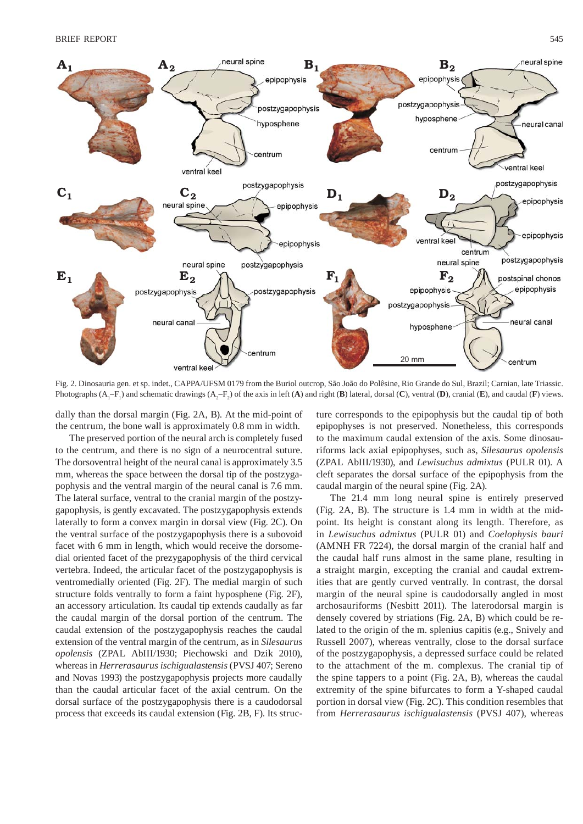

Fig. 2. Dinosauria gen. et sp. indet., CAPPA/UFSM 0179 from the Buriol outcrop, São João do Polêsine, Rio Grande do Sul, Brazil; Carnian, late Triassic. Photographs  $(A_1 - F_1)$  and schematic drawings  $(A_2 - F_2)$  of the axis in left  $(A)$  and right  $(B)$  lateral, dorsal  $(C)$ , ventral  $(D)$ , cranial  $(E)$ , and caudal  $(F)$  views.

dally than the dorsal margin (Fig. 2A, B). At the mid-point of the centrum, the bone wall is approximately 0.8 mm in width.

The preserved portion of the neural arch is completely fused to the centrum, and there is no sign of a neurocentral suture. The dorsoventral height of the neural canal is approximately 3.5 mm, whereas the space between the dorsal tip of the postzygapophysis and the ventral margin of the neural canal is 7.6 mm. The lateral surface, ventral to the cranial margin of the postzygapophysis, is gently excavated. The postzygapophysis extends laterally to form a convex margin in dorsal view (Fig. 2C). On the ventral surface of the postzygapophysis there is a subovoid facet with 6 mm in length, which would receive the dorsomedial oriented facet of the prezygapophysis of the third cervical vertebra. Indeed, the articular facet of the postzygapophysis is ventromedially oriented (Fig. 2F). The medial margin of such structure folds ventrally to form a faint hyposphene (Fig. 2F), an accessory articulation. Its caudal tip extends caudally as far the caudal margin of the dorsal portion of the centrum. The caudal extension of the postzygapophysis reaches the caudal extension of the ventral margin of the centrum, as in *Silesaurus opolensis* (ZPAL AbIII/1930; Piechowski and Dzik 2010), whereas in *Herrerasaurus ischigualastensis* (PVSJ 407; Sereno and Novas 1993) the postzygapophysis projects more caudally than the caudal articular facet of the axial centrum. On the dorsal surface of the postzygapophysis there is a caudodorsal process that exceeds its caudal extension (Fig. 2B, F). Its structure corresponds to the epipophysis but the caudal tip of both epipophyses is not preserved. Nonetheless, this corresponds to the maximum caudal extension of the axis. Some dinosauriforms lack axial epipophyses, such as, *Silesaurus opolensis* (ZPAL AbIII/1930), and *Lewisuchus admixtus* (PULR 01). A cleft separates the dorsal surface of the epipophysis from the caudal margin of the neural spine (Fig. 2A).

The 21.4 mm long neural spine is entirely preserved (Fig. 2A, B). The structure is 1.4 mm in width at the midpoint. Its height is constant along its length. Therefore, as in *Lewisuchus admixtus* (PULR 01) and *Coelophysis bauri*  (AMNH FR 7224), the dorsal margin of the cranial half and the caudal half runs almost in the same plane, resulting in a straight margin, excepting the cranial and caudal extremities that are gently curved ventrally. In contrast, the dorsal margin of the neural spine is caudodorsally angled in most archosauriforms (Nesbitt 2011). The laterodorsal margin is densely covered by striations (Fig. 2A, B) which could be related to the origin of the m. splenius capitis (e.g., Snively and Russell 2007), whereas ventrally, close to the dorsal surface of the postzygapophysis, a depressed surface could be related to the attachment of the m. complexus. The cranial tip of the spine tappers to a point (Fig. 2A, B), whereas the caudal extremity of the spine bifurcates to form a Y-shaped caudal portion in dorsal view (Fig. 2C). This condition resembles that from *Herrerasaurus ischigualastensis* (PVSJ 407), whereas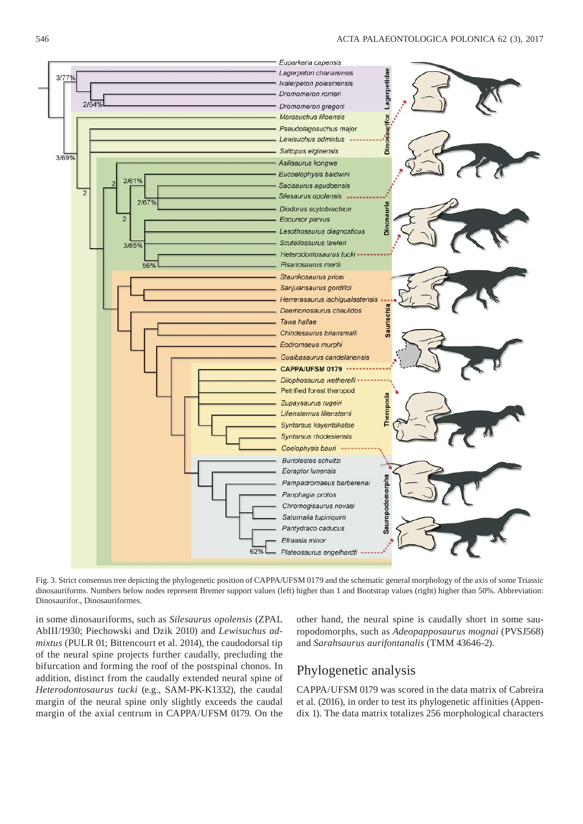

Fig. 3. Strict consensus tree depicting the phylogenetic position of CAPPA/UFSM 0179 and the schematic general morphology of the axis of some Triassic dinosauriforms. Numbers below nodes represent Bremer support values (left) higher than 1 and Bootstrap values (right) higher than 50%. Abbreviation: Dinosaurifor., Dinosauriformes.

in some dinosauriforms, such as *Silesaurus opolensis* (ZPAL AbIII/1930; Piechowski and Dzik 2010) and *Lewisuchus admixtus* (PULR 01; Bittencourt et al. 2014), the caudodorsal tip of the neural spine projects further caudally, precluding the bifurcation and forming the roof of the postspinal chonos. In addition, distinct from the caudally extended neural spine of *Heterodontosaurus tucki* (e.g., SAM-PK-K1332), the caudal margin of the neural spine only slightly exceeds the caudal margin of the axial centrum in CAPPA/UFSM 0179. On the other hand, the neural spine is caudally short in some sauropodomorphs, such as *Adeopapposaurus mognai* (PVSJ568) and *Sarahsaurus aurifontanalis* (TMM 43646-2).

## Phylogenetic analysis

CAPPA/UFSM 0179 was scored in the data matrix of Cabreira et al. (2016), in order to test its phylogenetic affinities (Appendix 1). The data matrix totalizes 256 morphological characters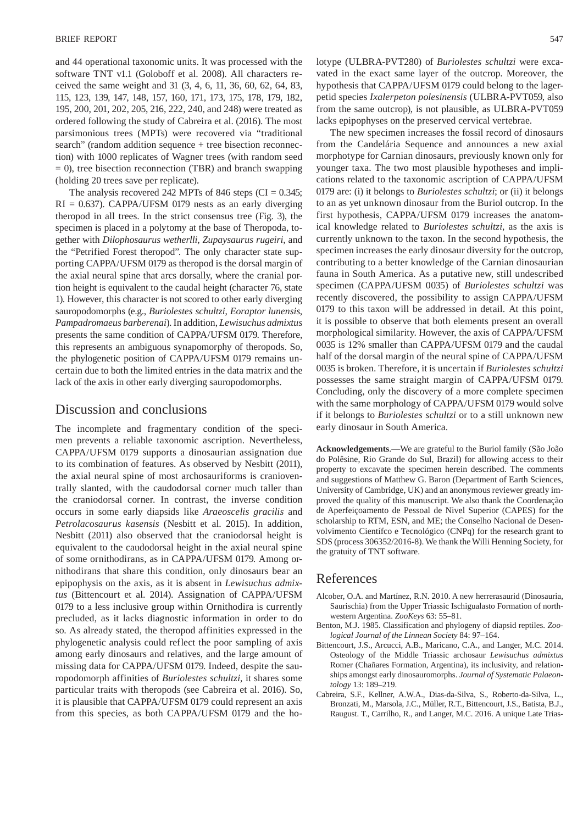and 44 operational taxonomic units. It was processed with the software TNT v1.1 (Goloboff et al. 2008). All characters received the same weight and 31 (3, 4, 6, 11, 36, 60, 62, 64, 83, 115, 123, 139, 147, 148, 157, 160, 171, 173, 175, 178, 179, 182, 195, 200, 201, 202, 205, 216, 222, 240, and 248) were treated as ordered following the study of Cabreira et al. (2016). The most parsimonious trees (MPTs) were recovered via "traditional search" (random addition sequence + tree bisection reconnection) with 1000 replicates of Wagner trees (with random seed  $= 0$ ), tree bisection reconnection (TBR) and branch swapping (holding 20 trees save per replicate).

The analysis recovered 242 MPTs of 846 steps (CI =  $0.345$ ;  $RI = 0.637$ ). CAPPA/UFSM 0179 nests as an early diverging theropod in all trees. In the strict consensus tree (Fig. 3), the specimen is placed in a polytomy at the base of Theropoda, together with *Dilophosaurus wetherlli*, *Zupaysaurus rugeiri*, and the "Petrified Forest theropod". The only character state supporting CAPPA/UFSM 0179 as theropod is the dorsal margin of the axial neural spine that arcs dorsally, where the cranial portion height is equivalent to the caudal height (character 76, state 1). However, this character is not scored to other early diverging sauropodomorphs (e.g., *Buriolestes schultzi*, *Eoraptor lunensis*, *Pampadromaeus barberenai*). In addition, *Lewisuchus admixtus* presents the same condition of CAPPA/UFSM 0179. Therefore, this represents an ambiguous synapomorphy of theropods. So, the phylogenetic position of CAPPA/UFSM 0179 remains uncertain due to both the limited entries in the data matrix and the lack of the axis in other early diverging sauropodomorphs.

#### Discussion and conclusions

The incomplete and fragmentary condition of the specimen prevents a reliable taxonomic ascription. Nevertheless, CAPPA/UFSM 0179 supports a dinosaurian assignation due to its combination of features. As observed by Nesbitt (2011), the axial neural spine of most archosauriforms is cranioventrally slanted, with the caudodorsal corner much taller than the craniodorsal corner. In contrast, the inverse condition occurs in some early diapsids like *Araeoscelis gracilis* and *Petrolacosaurus kasensis* (Nesbitt et al. 2015). In addition, Nesbitt (2011) also observed that the craniodorsal height is equivalent to the caudodorsal height in the axial neural spine of some ornithodirans, as in CAPPA/UFSM 0179. Among ornithodirans that share this condition, only dinosaurs bear an epipophysis on the axis, as it is absent in *Lewisuchus admixtus* (Bittencourt et al. 2014). Assignation of CAPPA/UFSM 0179 to a less inclusive group within Ornithodira is currently precluded, as it lacks diagnostic information in order to do so. As already stated, the theropod affinities expressed in the phylogenetic analysis could reflect the poor sampling of axis among early dinosaurs and relatives, and the large amount of missing data for CAPPA/UFSM 0179. Indeed, despite the sauropodomorph affinities of *Buriolestes schultzi*, it shares some particular traits with theropods (see Cabreira et al. 2016). So, it is plausible that CAPPA/UFSM 0179 could represent an axis from this species, as both CAPPA/UFSM 0179 and the holotype (ULBRA-PVT280) of *Buriolestes schultzi* were excavated in the exact same layer of the outcrop. Moreover, the hypothesis that CAPPA/UFSM 0179 could belong to the lagerpetid species *Ixalerpeton polesinensis* (ULBRA-PVT059, also from the same outcrop), is not plausible, as ULBRA-PVT059 lacks epipophyses on the preserved cervical vertebrae.

The new specimen increases the fossil record of dinosaurs from the Candelária Sequence and announces a new axial morphotype for Carnian dinosaurs, previously known only for younger taxa. The two most plausible hypotheses and implications related to the taxonomic ascription of CAPPA/UFSM 0179 are: (i) it belongs to *Buriolestes schultzi*; or (ii) it belongs to an as yet unknown dinosaur from the Buriol outcrop. In the first hypothesis, CAPPA/UFSM 0179 increases the anatomical knowledge related to *Buriolestes schultzi*, as the axis is currently unknown to the taxon. In the second hypothesis, the specimen increases the early dinosaur diversity for the outcrop, contributing to a better knowledge of the Carnian dinosaurian fauna in South America. As a putative new, still undescribed specimen (CAPPA/UFSM 0035) of *Buriolestes schultzi* was recently discovered, the possibility to assign CAPPA/UFSM 0179 to this taxon will be addressed in detail. At this point, it is possible to observe that both elements present an overall morphological similarity. However, the axis of CAPPA/UFSM 0035 is 12% smaller than CAPPA/UFSM 0179 and the caudal half of the dorsal margin of the neural spine of CAPPA/UFSM 0035 is broken. Therefore, it is uncertain if *Buriolestes schultzi*  possesses the same straight margin of CAPPA/UFSM 0179. Concluding, only the discovery of a more complete specimen with the same morphology of CAPPA/UFSM 0179 would solve if it belongs to *Buriolestes schultzi* or to a still unknown new early dinosaur in South America.

**Acknowledgements**.—We are grateful to the Buriol family (São João do Polêsine, Rio Grande do Sul, Brazil) for allowing access to their property to excavate the specimen herein described. The comments and suggestions of Matthew G. Baron (Department of Earth Sciences, University of Cambridge, UK) and an anonymous reviewer greatly improved the quality of this manuscript. We also thank the Coordenação de Aperfeiçoamento de Pessoal de Nivel Superior (CAPES) for the scholarship to RTM, ESN, and ME; the Conselho Nacional de Desenvolvimento Científco e Tecnológico (CNPq) for the research grant to SDS (process 306352/2016-8). We thank the Willi Henning Society, for the gratuity of TNT software.

### References

- Alcober, O.A. and Martínez, R.N. 2010. A new herrerasaurid (Dinosauria, Saurischia) from the Upper Triassic Ischigualasto Formation of northwestern Argentina. *ZooKeys* 63: 55–81.
- Benton, M.J. 1985. Classification and phylogeny of diapsid reptiles. *Zoological Journal of the Linnean Society* 84: 97–164.
- Bittencourt, J.S., Arcucci, A.B., Maricano, C.A., and Langer, M.C. 2014. Osteology of the Middle Triassic archosaur *Lewisuchus admixtus* Romer (Chañares Formation, Argentina), its inclusivity, and relationships amongst early dinosauromorphs. *Journal of Systematic Palaeontology* 13: 189–219.
- Cabreira, S.F., Kellner, A.W.A., Dias-da-Silva, S., Roberto-da-Silva, L., Bronzati, M., Marsola, J.C., Müller, R.T., Bittencourt, J.S., Batista, B.J., Raugust. T., Carrilho, R., and Langer, M.C. 2016. A unique Late Trias-